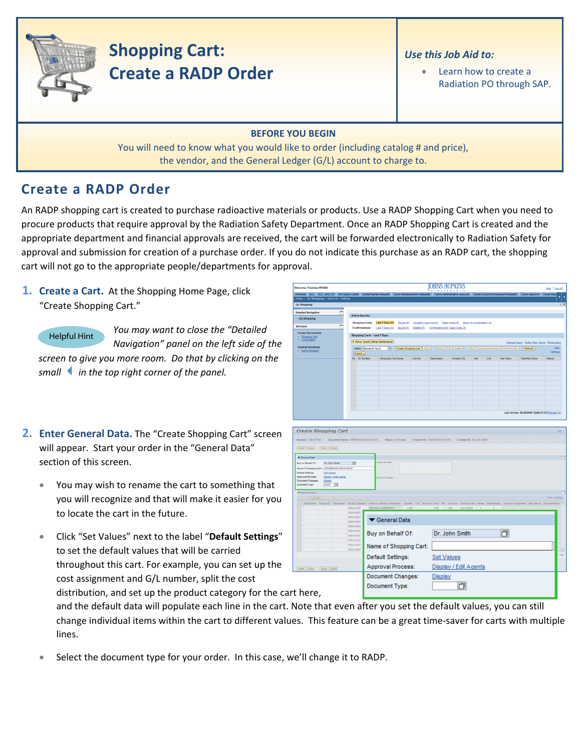

# **Shopping Cart: Create a RADP Order**

### *Use this Job Aid to:*

Learn how to create a Radiation PO through SAP.

#### **BEFORE YOU BEGIN**

You will need to know what you would like to order (including catalog # and price), the vendor, and the General Ledger (G/L) account to charge to.

## **Create a RADP Order**

An RADP shopping cart is created to purchase radioactive materials or products. Use a RADP Shopping Cart when you need to procure products that require approval by the Radiation Safety Department. Once an RADP Shopping Cart is created and the appropriate department and financial approvals are received, the cart will be forwarded electronically to Radiation Safety for approval and submission for creation of a purchase order. If you do not indicate this purchase as an RADP cart, the shopping cart will not go to the appropriate people/departments for approval.

**1. Create a Cart.** At the Shopping Home Page, click "Create Shopping Cart."

Helpful Hint

*the Navigation" panel on the left side of You may want to close the "Detailed screen to give you more room. Do that by clicking on the*

*smallin the top right corner of the panel.*

- **2. Enter General Data.** The "Create Shopping Cart" screen will appear. Start your order in the "General Data" section of this screen.
	- You may wish to rename the cart to something that you will recognize and that will make it easier for you to locate the cart in the future.
	- Click "Set Values" next to the label "**Default Settings**" to set the default values that will be carried throughout this cart. For example, you can set up the cost assignment and G/L number, split the cost

| Welcome Training UPUR60                                             |                              |                                       |                                                                                                                                                                                                                |          | IOHNS HOPKINS                  | <b>XXTITETIOXI</b>    |                           |      |                  |                                                  | Help   Log.off    |     |
|---------------------------------------------------------------------|------------------------------|---------------------------------------|----------------------------------------------------------------------------------------------------------------------------------------------------------------------------------------------------------------|----------|--------------------------------|-----------------------|---------------------------|------|------------------|--------------------------------------------------|-------------------|-----|
|                                                                     |                              |                                       | Welcome ECC ECC - MACOS BW Report Center Online Payment Request Travel Reimbursement Requester Travel Administrative Approver Travel Concurrent Employed Requester Travel Approver Travel Requ                 |          |                                |                       |                           |      |                  |                                                  |                   |     |
| Alerts   Go Shopping   Approval   Settings<br>Go Shopping           |                              |                                       |                                                                                                                                                                                                                |          |                                |                       |                           |      |                  |                                                  |                   | тE, |
|                                                                     |                              |                                       |                                                                                                                                                                                                                |          |                                |                       |                           |      |                  |                                                  |                   |     |
| <b>Detailed Navigation</b><br>· Go Shopping                         |                              | <b>Active Queries</b>                 |                                                                                                                                                                                                                |          |                                |                       |                           |      |                  |                                                  |                   |     |
|                                                                     |                              | <b>Shopping Carts</b>                 | Last 7 Days (0) Saved (0) Awaling Approval (0) Team Carts (0) Open for Confirmation (0)                                                                                                                        |          |                                |                       |                           |      |                  |                                                  |                   |     |
| <b>Services</b>                                                     | ÷                            | Confirmations                         | Last 7 Days (0) Saved (0) Deleted (0) Confirmations for Team Carts (0)                                                                                                                                         |          |                                |                       |                           |      |                  |                                                  |                   |     |
| <b>Create Documents</b><br>Shopping Card                            |                              |                                       | Shopping Carts - Last 7 Days                                                                                                                                                                                   |          |                                |                       |                           |      |                  |                                                  |                   |     |
| · Confirmation                                                      |                              |                                       | > Show Quick Criteria Maintenance                                                                                                                                                                              |          |                                |                       |                           |      |                  | Change Query Define New Query Personalize        |                   |     |
| <b>Central Functions</b><br><b>Notify Recipient</b>                 |                              | Export a                              | View [Standard View]     Create Shopping Cart   Copy   Display   Edit   Delete     Order   Create Confirmation   Print Preview     Refresh                                                                     |          |                                |                       |                           |      |                  |                                                  | Fiter<br>Settings |     |
|                                                                     |                              | <b>B</b> SC Number                    | Shopping Cart Name                                                                                                                                                                                             | Line No. | <b>Description</b>             | Created On            | City                      | Unit | <b>Net Value</b> | <b>Total Net Value</b>                           | <b>Status</b>     |     |
|                                                                     |                              |                                       |                                                                                                                                                                                                                |          |                                |                       |                           |      |                  |                                                  |                   |     |
|                                                                     |                              |                                       |                                                                                                                                                                                                                |          |                                |                       |                           |      |                  |                                                  |                   |     |
|                                                                     |                              |                                       |                                                                                                                                                                                                                |          |                                |                       |                           |      |                  |                                                  |                   |     |
|                                                                     |                              |                                       |                                                                                                                                                                                                                |          |                                |                       |                           |      |                  |                                                  |                   |     |
|                                                                     |                              |                                       |                                                                                                                                                                                                                |          |                                |                       |                           |      |                  |                                                  |                   |     |
|                                                                     |                              |                                       |                                                                                                                                                                                                                |          |                                |                       |                           |      |                  |                                                  |                   |     |
|                                                                     |                              |                                       |                                                                                                                                                                                                                |          |                                |                       |                           |      |                  |                                                  |                   |     |
|                                                                     |                              |                                       |                                                                                                                                                                                                                |          |                                |                       |                           |      |                  | Last Refresh 03/30/2010 12:04:31 EST Refresh (0) |                   |     |
|                                                                     |                              |                                       |                                                                                                                                                                                                                |          |                                |                       |                           |      |                  |                                                  |                   |     |
|                                                                     |                              |                                       |                                                                                                                                                                                                                |          |                                |                       |                           |      |                  |                                                  |                   |     |
| <b>Create Shopping Cart</b>                                         |                              |                                       |                                                                                                                                                                                                                |          |                                |                       |                           |      |                  |                                                  |                   |     |
| Number 102107231                                                    |                              | Document Name: UPURED ESQ1/2010 05:37 | <b><i>Status</i></b> in Process                                                                                                                                                                                |          | Created On 1553102019 19:37:18 |                       | Created By Dr. John Smith |      |                  |                                                  |                   |     |
| Drew Cose   Dave   Check                                            |                              |                                       |                                                                                                                                                                                                                |          |                                |                       |                           |      |                  |                                                  |                   |     |
|                                                                     |                              |                                       |                                                                                                                                                                                                                |          |                                |                       |                           |      |                  |                                                  |                   |     |
| T General Data                                                      |                              |                                       | Augmoral limits                                                                                                                                                                                                |          |                                |                       |                           |      |                  |                                                  |                   |     |
| Buy on Behalf Of<br>liane of Shopping Cart. UPURED E3/31/2310 09:37 | Dr. John Smith               | 西                                     |                                                                                                                                                                                                                |          |                                |                       |                           |      |                  |                                                  |                   |     |
| <b>Default Settings:</b>                                            | <b>Ist Values</b>            |                                       |                                                                                                                                                                                                                |          |                                |                       |                           |      |                  |                                                  |                   |     |
| Approval Process<br><b>Document Changes:</b><br>Dealer              | <b>Creates / Edit Agents</b> |                                       | family to Supplier                                                                                                                                                                                             |          |                                |                       |                           |      |                  |                                                  |                   |     |
| <b>Document Type:</b><br>ECPO                                       | ы                            |                                       |                                                                                                                                                                                                                |          |                                |                       |                           |      |                  |                                                  |                   |     |
| W last Diversion.                                                   |                              |                                       |                                                                                                                                                                                                                |          |                                |                       |                           |      |                  |                                                  |                   |     |
| Driving AM from a Comp of Francisco & Dalvin                        |                              |                                       |                                                                                                                                                                                                                |          |                                |                       |                           |      |                  |                                                  | Tettide           |     |
|                                                                     |                              | <b>SERVAGNT</b>                       | Leathinter PoductO Description Product Calegory Product Calegory Description Duality Unit Net Post Leathroad Per Cultorial States Date National Account Assignment Rend Mail Description<br>TERVICE ADRESSENTS | 1.000    | 0.001                          | 03/31/2010<br>7 (150) |                           |      |                  |                                                  |                   |     |
|                                                                     |                              | <b>SERVAGNT</b>                       |                                                                                                                                                                                                                |          |                                |                       |                           |      |                  |                                                  |                   |     |
|                                                                     |                              | <b>SERVADIT</b><br><b>SERVADIST</b>   | General Data                                                                                                                                                                                                   |          |                                |                       |                           |      |                  |                                                  |                   |     |
|                                                                     |                              | <b>SERVAGNT</b>                       |                                                                                                                                                                                                                |          |                                |                       |                           |      |                  |                                                  |                   |     |
|                                                                     |                              | <b>SERVAGET</b>                       | Buy on Behalf Of:                                                                                                                                                                                              |          |                                | Dr. John Smith        |                           |      | O                |                                                  |                   |     |
|                                                                     |                              | <b>SERVAGNT</b><br>SERVADAT           |                                                                                                                                                                                                                |          |                                |                       |                           |      |                  |                                                  |                   |     |
|                                                                     |                              | <b>SERVAGNY</b>                       | Name of Shopping Cart:                                                                                                                                                                                         |          |                                |                       |                           |      |                  |                                                  |                   |     |
|                                                                     |                              |                                       |                                                                                                                                                                                                                |          |                                |                       |                           |      |                  |                                                  |                   |     |
|                                                                     |                              | <b>SERVAGNT</b>                       |                                                                                                                                                                                                                |          |                                |                       |                           |      |                  |                                                  |                   |     |
|                                                                     |                              |                                       | Default Settings:                                                                                                                                                                                              |          | <b>Set Values</b>              |                       |                           |      |                  |                                                  |                   | ind |
|                                                                     |                              |                                       | Approval Process:                                                                                                                                                                                              |          |                                | Display / Edit Agents |                           |      |                  |                                                  |                   |     |
|                                                                     |                              |                                       | Document Changes:                                                                                                                                                                                              |          | Display                        |                       |                           |      |                  |                                                  |                   |     |
|                                                                     |                              |                                       |                                                                                                                                                                                                                |          |                                |                       |                           |      |                  |                                                  |                   |     |
| Orim Cose   Save   Own<br>rt here.                                  |                              |                                       | Document Type:                                                                                                                                                                                                 |          |                                | 门                     |                           |      |                  |                                                  |                   |     |

distribution, and set up the product category for the ca rt here,

and the default data will populate each line in the cart. Note that even after you set the default values, you can still change individual items within the cart to different values. This feature can be a great time-saver for carts with multiple lines.

• Select the document type for your order. In this case, we'll change it to RADP.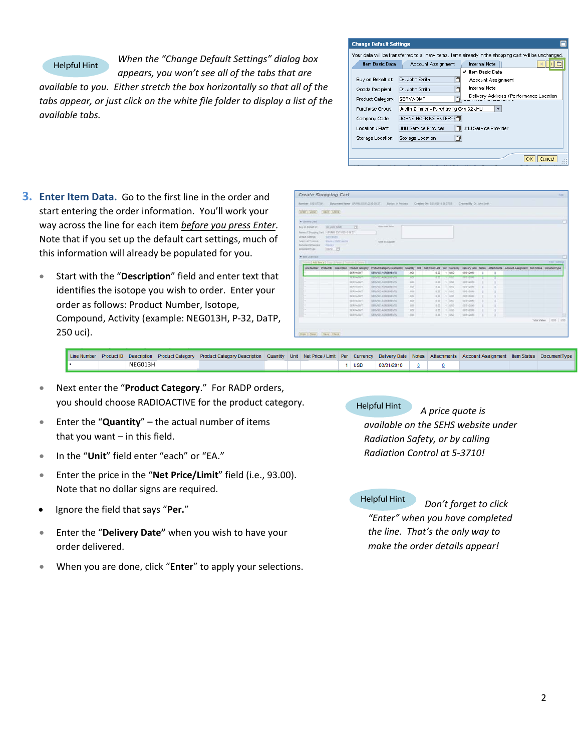#### Helpful Hint

*When the "Change Default Settings" dialog box appears, you won't see all of the tabs that are*

*available to you. Either stretch the box horizontally so that all of the tabs appear, or just click on the white file folder to display a list of the available tabs.*

| <b>Change Default Settings</b> |                                       |                                                                                                       |
|--------------------------------|---------------------------------------|-------------------------------------------------------------------------------------------------------|
|                                |                                       | Your data will be transferred to all new items, Items already in the shopping cart will be unchanged. |
| Item Basic Data                | Account Assignment                    | <b>Internal Note</b>                                                                                  |
|                                |                                       | ✔ Item Basic Data                                                                                     |
| Buy on Behalf of:              | Dr. John Smith<br>门                   | Account Assignment                                                                                    |
| Goods Recipient:               | Dr. John Smith                        | <b>Internal Note</b>                                                                                  |
| Product Category:              | SERVAGMT                              | Delivery Address / Performance Location                                                               |
| Purchase Group:                | Judith Zimmer - Purchasing Grp 32 JHU |                                                                                                       |
| Company Code:                  | <b>JOHNS HOPKINS ENTERPH门</b>         |                                                                                                       |
| Location / Plant:              | <b>JHLI Service Provider</b><br>门     | JHU Service Provider                                                                                  |
| Storage Location:              | 门<br>Storage Location                 |                                                                                                       |
|                                |                                       | Cancel<br>OK                                                                                          |

- **3. Enter Item Data.** Go to the first line in the order and start entering the order information. You'll work your way across the line for each item *before you press Enter*. Note that if you set up the default cart settings, much of this information will already be populated for you.
	- Start with the "**Description**" field and enter text that identifies the isotope you wish to order. Enter your order as follows: Product Number, Isotope, Compound, Activity (example: NEG013H, P‐32, DaTP, 250 uci).

| Criter   Close    |                                                |                                                         |                                                                                                                                                        |       |         |              |                |    |   |  |              |
|-------------------|------------------------------------------------|---------------------------------------------------------|--------------------------------------------------------------------------------------------------------------------------------------------------------|-------|---------|--------------|----------------|----|---|--|--------------|
|                   | Lave   Datk                                    |                                                         |                                                                                                                                                        |       |         |              |                |    |   |  |              |
| - General Date    |                                                |                                                         |                                                                                                                                                        |       |         |              |                |    |   |  |              |
| Buy an Behalf Of  | Dr. John Smith                                 | 西                                                       | Approvid Note                                                                                                                                          |       |         |              |                |    |   |  |              |
|                   | Neme of Drugoing Cart. UPURED ES/31/2010 09:37 |                                                         |                                                                                                                                                        |       |         |              |                |    |   |  |              |
| Dataut Samiga     | <b>Det Vatiles</b>                             |                                                         |                                                                                                                                                        |       |         |              |                |    |   |  |              |
| Approval Process  | Dazes / S.M.Azerta                             |                                                         | <b>Sate in Suggler</b>                                                                                                                                 |       |         |              |                |    |   |  |              |
| Document Changes: | <b>Zisens</b>                                  |                                                         | --                                                                                                                                                     |       |         |              |                |    |   |  |              |
| Document Type:    | 100 19                                         |                                                         |                                                                                                                                                        |       |         |              |                |    |   |  |              |
|                   |                                                |                                                         |                                                                                                                                                        |       |         |              |                |    |   |  |              |
| * Im Dierven      |                                                |                                                         |                                                                                                                                                        |       |         |              |                |    |   |  |              |
|                   |                                                | Sinkin E AAd how I Corry & Form & Countries & Daniel L. |                                                                                                                                                        |       |         |              |                |    |   |  | Time Service |
|                   |                                                | Line Number Product D Description Product Category      | Product Category Description Countity Unit Hat Price / Limit Per Currency Delivery Date Nithes Attachments Account Assignment Bant Status DocumentType |       |         |              |                |    |   |  |              |
| ٠                 |                                                | SERVAGNT                                                | SERVICE AGREEMENTS                                                                                                                                     | 1,000 | 0.00    | $t$ is used  | 03/21/2010     | ٠  | a |  |              |
|                   |                                                | <b>STRONOGY</b>                                         | <b><i>SERVICE ASSESSMENTS</i></b>                                                                                                                      | 1,000 | $-100$  | <b>TANKS</b> | <b>ADAMINE</b> | т  | т |  |              |
|                   |                                                | <b>SERVAGNT</b>                                         | SERVICE AGREEMENTS                                                                                                                                     | 1,618 | 3.310   | 1,180        | 23/31/2010     | в  |   |  |              |
|                   |                                                | <b>SERVADUT</b>                                         | SERVICE ASSEEMENTS.                                                                                                                                    | 1,500 | 8.00    | $1 - 150$    | 03/21/2010     | ٠  |   |  |              |
|                   |                                                | <b>SERVADAT</b>                                         | SERVICE ADRESSENTS                                                                                                                                     | 1,500 | $-0.00$ | A 1 totals   | 55/31/2010     | ٠  | 1 |  |              |
|                   |                                                | SERVATORT                                               | <b>SERVICE ADRESSENTS</b>                                                                                                                              | 1,000 | 0.00    | 1.020        | 8301/2010      | s. | 1 |  |              |
|                   |                                                | <b>SERVAGNT</b>                                         | SERVICE AGREEMENTS                                                                                                                                     | 1.000 | 0.00    | 1150         | 03/21/2010     |    |   |  |              |
|                   |                                                | SERVADIT                                                | <b>BERVICE ASPEEMENTS</b>                                                                                                                              | 1,303 | 0.00    | (1) 455      | ES31/2010      | ٠  | × |  |              |
|                   |                                                |                                                         | SERVICE ADRESIENTS                                                                                                                                     | 1,000 | 0.00    | 1.1 1992     | 03/31/2010     |    | ٠ |  |              |
|                   |                                                | SERVADUT                                                |                                                                                                                                                        | 1.889 |         | 3 38 1 150   | 63/31/2010     | ×  | в |  |              |
|                   |                                                | <b>SERVAGNT</b>                                         | <b>SERVER AGREEMENTS</b>                                                                                                                               |       |         |              |                |    |   |  |              |

Line Number Product ID Description Product Category Product Category Description Quantity Unit Net Price / Limit Per Currency Delivery Date Notes Attachments Account Assignment Item Status DocumentType 03/31/2010  $N$ EG013H  $\overline{R}$  each  $\overline{R}$  and  $\overline{R}$  and  $\overline{R}$  each  $\overline{R}$  and  $\overline{R}$  and  $\overline{R}$  expansion  $\overline{R}$  $1$  USD  $\underline{\mathbf{0}}$  $\underline{0}$ 

- Next enter the "**Product Category**." For RADP orders, you should choose RADIOACTIVE for the product category.
- Enter the "**Quantity**" the actual number of items that you want – in this field.
- In the "**Unit**" field enter "each" or "EA."
- Enter the price in the "**Net Price/Limit**" field (i.e., 93.00). Note that no dollar signs are required.
- Ignore the field that says "**Per.**"
- Enter the "**Delivery Date"** when you wish to have your order delivered.
- When you are done, click "**Enter**" to apply your selections.

Helpful Hint *A price quote is available on the SEHS website under Radiation Safety, or by calling Radiation Control at 5‐3710!*

Helpful Hint *Don't forget to click "Enter" when you have completed the line. That's the only way to make the order details appear!*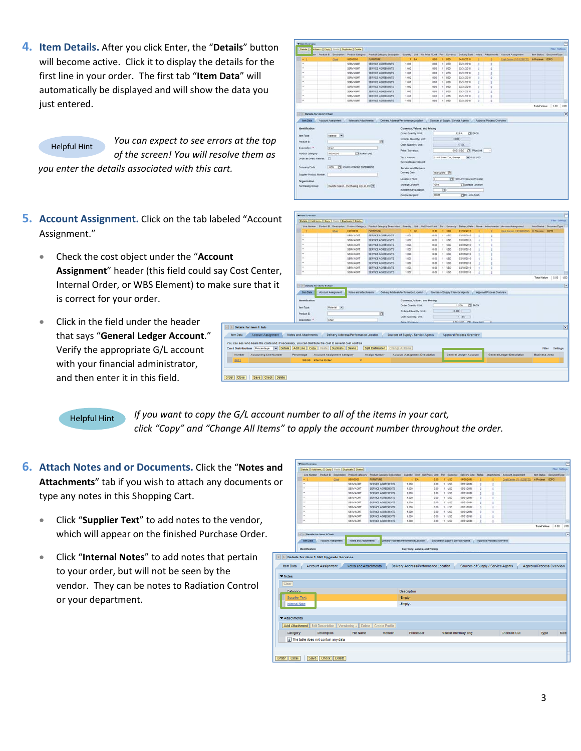**4. Item Details.** After you click Enter, the "**Details**" button will become active. Click it to display the details for the first line in your order. The first tab "**Item Data**" will automatically be displayed and will show the data you just entered.

*You can expect to see errors at the top of the screen! You will resolve them as you enter the details associated with this cart.* Helpful Hint

- **5. Account Assignment.** Click on the tab labele Assignment."
	- Check the cost object under the "**Account** Assignment" header (this field could say C Internal Order, or WBS Element) to make is correct for your order.

**RIF** 

Ŀ

• Click in the field under the header that says "**General Ledger Account**." Verify the appropriate G/L account with your financial administrator, and then enter it in this field.

|                                                                                                                                                                                 |                                   |                                                                                                                  |                                       |                                                             | incoterm Keyit, ocation.              |                                                                     | $\Box$ |              |                                 |                           |                                               |                        |                                          |  |
|---------------------------------------------------------------------------------------------------------------------------------------------------------------------------------|-----------------------------------|------------------------------------------------------------------------------------------------------------------|---------------------------------------|-------------------------------------------------------------|---------------------------------------|---------------------------------------------------------------------|--------|--------------|---------------------------------|---------------------------|-----------------------------------------------|------------------------|------------------------------------------|--|
|                                                                                                                                                                                 |                                   |                                                                                                                  |                                       |                                                             | Goods Recipient                       | 89008                                                               |        |              | TTD: John Smith                 |                           |                                               |                        |                                          |  |
| ed "Account                                                                                                                                                                     | <b>With Overview</b>              | Details   Add fem a   Copy   Fissio   Duplicate   Detete  <br>Line Number Product D Description Product Category |                                       | Preduct Category Description Cuantily Unit Net Price / Link |                                       |                                                                     |        | Per Currenty | Delivery Date                   |                           | <b>Notes: Altachments: Account Assignment</b> |                        | Film Certeron<br>ten Status CocumentType |  |
|                                                                                                                                                                                 |                                   | Chat                                                                                                             | 56000000                              | <b>FURNITURE</b>                                            | 1 84                                  | 0.00                                                                |        | $t$ $150$    | 04/05/2018                      |                           | Cost Carter (1010209732)                      | <b>Il Process</b> ECPO |                                          |  |
|                                                                                                                                                                                 | $\sim$                            |                                                                                                                  | SERVADNT                              | SERVICE AGREEMENTS                                          | 1.000                                 | 0.00                                                                |        | 1 150        | 03/31/2010                      |                           |                                               |                        |                                          |  |
|                                                                                                                                                                                 |                                   |                                                                                                                  | <b>SERVAGNIT</b>                      | SERVICE AGREEMENTS                                          | 1,000                                 | 0.00                                                                |        | 1.1050       | 03/31/2010                      |                           |                                               |                        |                                          |  |
|                                                                                                                                                                                 |                                   |                                                                                                                  | SERVAGNT                              | SERVICE AGREEMENTS                                          | 1,000                                 | 0.00                                                                |        | 1.950        | 03/31/2010                      |                           |                                               |                        |                                          |  |
|                                                                                                                                                                                 |                                   |                                                                                                                  | SERVAGNT                              | SERVICE AGREEMENTS                                          | 1.000                                 | 0.00                                                                |        | 1 1/50       | 03/31/2010                      |                           |                                               |                        |                                          |  |
|                                                                                                                                                                                 |                                   |                                                                                                                  | SERVAGNIT                             | SERVICE AGREEMENTS                                          | 1.000                                 | 0.00                                                                |        | 1 150        | 03/31/2018                      |                           |                                               |                        |                                          |  |
|                                                                                                                                                                                 |                                   |                                                                                                                  | SERVAGNT                              | SERVICE AGREEMENTS                                          | 1.000                                 | 0.00                                                                |        | 1 USD        | 03/31/2010                      |                           |                                               |                        |                                          |  |
|                                                                                                                                                                                 |                                   |                                                                                                                  | SERVAGNT                              | SERVICE AGREEMENTS                                          | 1.000                                 | 3.00                                                                |        | $t$ use      | 03/31/2018                      |                           |                                               |                        |                                          |  |
|                                                                                                                                                                                 |                                   |                                                                                                                  | <b>SERVAGNIT</b>                      | SERVICE AGREEMENTS                                          | 1.000                                 | 0.00                                                                |        | 1.1950       | 63/31/2010                      |                           |                                               |                        |                                          |  |
| Cost Center,                                                                                                                                                                    |                                   |                                                                                                                  | SERVAGNIT                             | SERVICE AGREEMENTS                                          | 1.000                                 | 0.00                                                                |        | 1 1/200      | 03/31/2010                      |                           |                                               |                        |                                          |  |
|                                                                                                                                                                                 |                                   | <b>Account Assignment</b>                                                                                        | <b>Notes and Attachments</b>          |                                                             |                                       |                                                                     |        |              |                                 |                           |                                               |                        |                                          |  |
|                                                                                                                                                                                 | <b>Tem Data</b><br>Identification |                                                                                                                  |                                       |                                                             | Delivery Address/Performance Location | Sources of Suzzly / Service Agents<br>Currency, Values, and Pricing |        |              |                                 | Agencyal Process Overview |                                               |                        |                                          |  |
|                                                                                                                                                                                 |                                   |                                                                                                                  |                                       |                                                             | Order Quantity / Link                 |                                                                     |        |              | <b>IT EACH</b><br>$1$ EA        |                           |                                               |                        |                                          |  |
|                                                                                                                                                                                 | <b>fam Type</b>                   | <b>Material</b> (*)                                                                                              |                                       |                                                             |                                       |                                                                     |        |              |                                 |                           |                                               |                        |                                          |  |
|                                                                                                                                                                                 | <b>Product D:</b>                 |                                                                                                                  |                                       | a                                                           | <b>Ordered Quantity / Unit</b>        |                                                                     |        | 0.000        |                                 |                           |                                               |                        |                                          |  |
|                                                                                                                                                                                 | Deatription. *                    | Chat                                                                                                             |                                       |                                                             | Open Quantity / Unit                  |                                                                     |        |              | 1 EA                            |                           |                                               |                        |                                          |  |
|                                                                                                                                                                                 |                                   |                                                                                                                  |                                       |                                                             | <b>Drive / Currency</b>               |                                                                     |        |              | <b>B. DE LORD THE PANA LINE</b> | $\overline{\phantom{a}}$  |                                               |                        |                                          |  |
| Details for item 1 Sub                                                                                                                                                          |                                   |                                                                                                                  |                                       |                                                             |                                       |                                                                     |        |              |                                 |                           |                                               |                        |                                          |  |
| Account Assignment                                                                                                                                                              | <b>Notes and Attachments</b>      |                                                                                                                  | Delivery Address/Performance Location |                                                             |                                       | Sources of Supply / Service Agents                                  |        |              | Approval Process Overview       |                           |                                               |                        |                                          |  |
|                                                                                                                                                                                 |                                   |                                                                                                                  |                                       |                                                             |                                       |                                                                     |        |              |                                 |                           |                                               |                        |                                          |  |
| can see who bears the costs and, if necessary, you can distribute the cost to several cost centres<br>st Distribution Percentage v Details Add Line Copy Paste Duplicate Delete |                                   |                                                                                                                  |                                       | Change All Berns<br><b>Split Distribution</b>               |                                       |                                                                     |        |              |                                 |                           |                                               |                        | Settings<br>Fiber.                       |  |
| <b>Accounting Line Number</b>                                                                                                                                                   | Percentage                        | Account Assignment Category                                                                                      |                                       | <b>Assign Number</b>                                        |                                       | <b>Account Assignment Description</b>                               |        |              | General Ledger Account          |                           | General Ledger Description                    | <b>Business Area</b>   |                                          |  |
|                                                                                                                                                                                 | 100.00 Internal Order             |                                                                                                                  | ٠                                     |                                                             |                                       |                                                                     |        |              |                                 |                           |                                               |                        |                                          |  |

1.000<br>1.000<br>1.000<br>1.000<br>1.000<br>1.000

西 **TH** Province Twi dog und

Helpful Hint

*If you want to copy the G/L account number to all of the items in your cart, click "Copy" and "Change All Items" to apply the account number throughout the order.*

,<br>Id. Benr., (Copy) Frank (Duplicate ) Delete

- **6. Attach Notes and or Documents.** Click the "**Notes and** Attachments<sup>"</sup> tab if you wish to attach any documents type any notes in this Shopping Cart.
	- Click "**Supplier Text**" to add notes to the vendor, which will appear on the finished Purchase Order.
	- Click "**Internal Notes**" to add notes that pertain to your order, but will not be seen by the vendor. They can be notes to Radiation Control or your department.

|                                                                                                                     |                                         |                                    |     | Details   Add tem .   Copy   Fasts   Duplicate   Delete |                                                                          |                    |           |                                       |              |                                    |    |                           |                           |                           | Filer Settings          |
|---------------------------------------------------------------------------------------------------------------------|-----------------------------------------|------------------------------------|-----|---------------------------------------------------------|--------------------------------------------------------------------------|--------------------|-----------|---------------------------------------|--------------|------------------------------------|----|---------------------------|---------------------------|---------------------------|-------------------------|
|                                                                                                                     |                                         | Line Number Product El Description |     | <b>Product Category</b>                                 | Product Category Deacription Quantity Unit Net Price / Link Per Currency |                    |           |                                       |              | Delivery Date: Notes: Attachments  |    |                           | <b>Account Assignment</b> |                           | ten Status DocumentType |
|                                                                                                                     |                                         |                                    | Ost | 10000000                                                | <b>FURNITURE</b>                                                         |                    | 1.84      | 0.00                                  | 1.055        | 04/05/2010                         |    |                           | Cost Carrier (1010201732) | <b>In Process ECPO</b>    |                         |
|                                                                                                                     | ٠                                       |                                    |     | SERVAGUS                                                | SERVICE AGREEMENTS                                                       | 1.000              |           | 0.00                                  | $t$ - $u$ so | 03/31/2010                         | ٠  | s,                        |                           |                           |                         |
|                                                                                                                     | ٠                                       |                                    |     | SERVAGM?                                                | SERVICE AGREEMENTS                                                       | 1,000              |           | 3.00                                  | $1 - 1055$   | <b>ESC1/2018</b>                   | t. | è                         |                           |                           |                         |
|                                                                                                                     | ٠                                       |                                    |     | SERVAGNT                                                | SERVICE AGREEMENTS                                                       | 1,000              |           | 0.00                                  | $1$ $150$    | 03/31/2010                         | g. | ż                         |                           |                           |                         |
|                                                                                                                     |                                         |                                    |     | SERVAGNT                                                | SERVICE AGREEMENTS                                                       | 1,000              |           | 0.00                                  | 1 150        | 03/31/2010                         | ٠  | ÷                         |                           |                           |                         |
|                                                                                                                     |                                         |                                    |     | SERVAGNT                                                | SERVICE AGREEMENTS                                                       | 1,000              |           | 0.00                                  | $1 - 1050$   | 03/31/2010                         | ٠  | ٠                         |                           |                           |                         |
|                                                                                                                     | ٠                                       |                                    |     | <b>SERVAGNT</b>                                         | SERVICE AGREEMENTS                                                       | 1.000              |           | 0.00                                  | 1.055        | 03/31/2010                         | o  | t                         |                           |                           |                         |
|                                                                                                                     | ×                                       |                                    |     | <b>SERVAGNT</b>                                         | SERVICE AGREEMENTS                                                       | 1.000              |           | 0.00                                  | 1.150        | 03/31/2010                         |    | t                         |                           |                           |                         |
|                                                                                                                     |                                         |                                    |     | SERVAGNT                                                | SERVICE AGREEMENTS                                                       | 1.000              |           | 0.00                                  | 1.150        | 03/31/2010                         |    | t                         |                           |                           |                         |
|                                                                                                                     | ٠                                       |                                    |     | SERVADNT                                                | SERVICE AGREEMENTS                                                       | 1,000              |           | 0.00                                  | 1.450        | 03/31/2010                         |    | ٠                         |                           |                           |                         |
|                                                                                                                     |                                         |                                    |     |                                                         |                                                                          |                    |           |                                       |              |                                    |    |                           |                           | <b>Total Value</b>        | 0.00 1050               |
|                                                                                                                     | (1) 1 Details for item 1 Chair          |                                    |     |                                                         |                                                                          |                    |           |                                       |              |                                    |    |                           |                           |                           |                         |
|                                                                                                                     |                                         |                                    |     |                                                         |                                                                          |                    |           |                                       |              |                                    |    |                           |                           |                           |                         |
|                                                                                                                     | <b><i>Ism Data</i></b>                  | <b>Account Assignment</b>          |     | Notes and Attachments                                   | Delvery Address Performance Location                                     |                    |           |                                       |              | Sources of Supply / Service Agents |    | Approval Process Overview |                           |                           |                         |
|                                                                                                                     | Details for item 1 SAP Upgrade Services | Account Assignment                 |     | Notes and Attachments                                   |                                                                          |                    |           | Delivery Address/Performance Location |              | Sources of Supply / Service Agents |    |                           |                           | Approval Process Overview |                         |
|                                                                                                                     |                                         |                                    |     |                                                         |                                                                          |                    |           |                                       |              |                                    |    |                           |                           |                           |                         |
|                                                                                                                     |                                         |                                    |     |                                                         |                                                                          | <b>Description</b> |           |                                       |              |                                    |    |                           |                           |                           |                         |
|                                                                                                                     |                                         |                                    |     |                                                         |                                                                          | Empty-             |           |                                       |              |                                    |    |                           |                           |                           |                         |
|                                                                                                                     |                                         |                                    |     |                                                         |                                                                          |                    |           |                                       |              |                                    |    |                           |                           |                           |                         |
|                                                                                                                     |                                         |                                    |     |                                                         |                                                                          | -Empty-            |           |                                       |              |                                    |    |                           |                           |                           |                         |
|                                                                                                                     |                                         |                                    |     |                                                         |                                                                          |                    |           |                                       |              |                                    |    |                           |                           |                           |                         |
|                                                                                                                     |                                         |                                    |     |                                                         | Add Attachment   Edit Description   Versioning / Delete   Create Profile |                    |           |                                       |              |                                    |    |                           |                           |                           |                         |
|                                                                                                                     |                                         | Description                        |     | File Name                                               | Version                                                                  |                    | Processor |                                       |              | Visible Internally only            |    |                           | <b>Checked Out</b>        | Type                      |                         |
|                                                                                                                     | [i] The table does not contain any data |                                    |     |                                                         |                                                                          |                    |           |                                       |              |                                    |    |                           |                           |                           |                         |
| <b>Rem Data</b><br>▼ Notes<br>Clear<br>Calegory<br>Supplier Text<br><b>Internal Note</b><br>Attachments<br>Category |                                         |                                    |     |                                                         |                                                                          |                    |           |                                       |              |                                    |    |                           |                           |                           |                         |
|                                                                                                                     |                                         |                                    |     |                                                         |                                                                          |                    |           |                                       |              |                                    |    |                           |                           |                           |                         |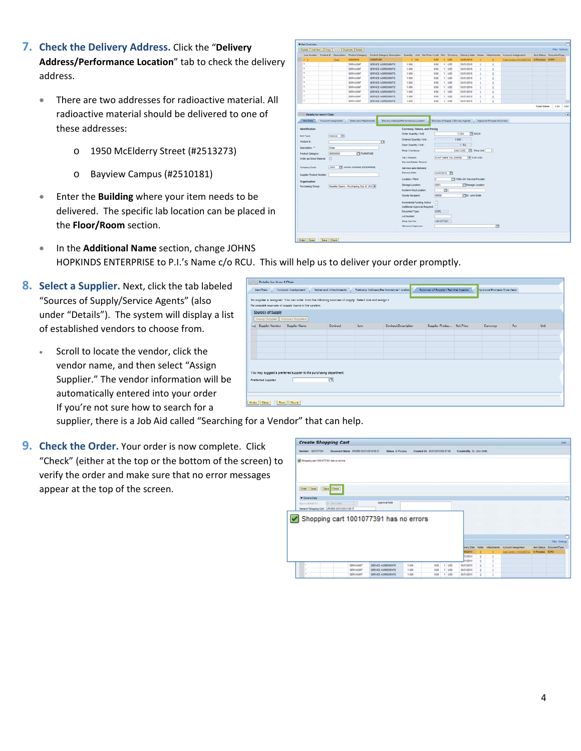- **7. Check the Delivery Address.** Click the "**Delivery Address/Performance Location**" tab to check the delivery address.
	- There are two addresses for radioactive material. All radioactive material should be delivered to one of these addresses:
		- o 1950 McElderry Street (#2513273)
		- o Bayview Campus (#2510181)
	- Enter the **Building** where your item needs to be delivered. The specific lab location can be placed in the **Floor/Room** section.

• In the **Additional Name** section, change JOHNS

|                                                                                                        |                           |             | Details   Add fem .   Copy   Festiv   Duplicate   Details |                                                                                                                              |                               |          |                               |            |                                    |                                 |   |                           |                          |                           | <b>Fiter Settings</b> |  |
|--------------------------------------------------------------------------------------------------------|---------------------------|-------------|-----------------------------------------------------------|------------------------------------------------------------------------------------------------------------------------------|-------------------------------|----------|-------------------------------|------------|------------------------------------|---------------------------------|---|---------------------------|--------------------------|---------------------------|-----------------------|--|
|                                                                                                        |                           |             |                                                           | Line Number Product E Description Product Category Product Category Description Countity Unit Net Price / Limit Per Currency |                               |          |                               |            |                                    | Delivery Date Notes Attachments |   |                           | Account Assignment       | ten Italus - DocumentType |                       |  |
| ٠                                                                                                      |                           | Chat        | 50000000                                                  | <b><i>PLIGNITURE</i></b>                                                                                                     |                               | $1 - EA$ | 0.08                          |            | $t$ uso                            | 04/05/2010                      |   |                           | Cont Centre (1815209732) | N Process ECPO            |                       |  |
| ٠                                                                                                      |                           |             | <b>SERVAGNIT</b>                                          | SERVICE AGREEMENTS                                                                                                           | 1.000                         |          | 0.00                          |            | $t$ $150$                          | 03/31/2010                      | ٠ | ٠                         |                          |                           |                       |  |
| ×                                                                                                      |                           |             | SERVAGNIT                                                 | SERVICE AGREEMENTS                                                                                                           | 1,000                         |          | 0.00                          |            | 1.185                              | 83/31/2010                      |   | ä                         |                          |                           |                       |  |
|                                                                                                        |                           |             | <b>SERVAGNIT</b>                                          | SERVICE AGREEMENTS                                                                                                           | 1,000                         |          | 0.00                          |            | $1 - 1/5D$                         | 03/31/2010                      |   | g                         |                          |                           |                       |  |
| ٠                                                                                                      |                           |             | <b>SERVAGNIT</b>                                          | SERVICE AGREEMENTS                                                                                                           | 1,000                         |          | 0.00                          |            | $T - 1/5D$                         | 03/31/2010                      |   | ٠                         |                          |                           |                       |  |
|                                                                                                        |                           |             | <b>SERVAGNIT</b><br><b>SERVAGNIT</b>                      | SERVICE AGREEMENTS<br>SERVICE AGREEMENTS                                                                                     | 1,000<br>1.000.               |          | 0.00<br>0.00                  |            | 1.150<br>$1$ USD                   | 03/31/2010<br>03/31/2010        |   | ٠                         |                          |                           |                       |  |
|                                                                                                        |                           |             | SERVAGNIT                                                 | SERVICE AGREEMENTS                                                                                                           | 1,000                         |          | 0.00                          |            | $+1.15D$                           | 03/31/2010                      |   | ġ<br>d                    |                          |                           |                       |  |
| ٠                                                                                                      |                           |             | <b>SERVAGNIT</b>                                          | SERVICE AGREEMENTS                                                                                                           | 1.000                         |          | 0.00                          |            | $1 - 1/50$                         | 03/31/2010                      |   | t                         |                          |                           |                       |  |
| ×                                                                                                      |                           |             | SERVAGNIT                                                 | SERVICE AGREEMENTS                                                                                                           | 1.000                         |          | 0.05                          |            | 1.150                              | 03/31/2010                      |   | ٠                         |                          |                           |                       |  |
|                                                                                                        |                           |             |                                                           |                                                                                                                              |                               |          |                               |            |                                    |                                 |   |                           |                          | <b>Total Value</b>        | 0.00                  |  |
|                                                                                                        |                           |             |                                                           |                                                                                                                              |                               |          |                               |            |                                    |                                 |   |                           |                          |                           |                       |  |
| 14 11 Details for item 1 Chair                                                                         |                           |             |                                                           |                                                                                                                              |                               |          |                               |            |                                    |                                 |   |                           |                          |                           |                       |  |
| <b>tem Data</b>                                                                                        | <b>Account Associated</b> |             | <b>Notes and Attachments</b>                              | Delivery Address/Ferturnance Location                                                                                        |                               |          |                               |            | Sources of Supply / Service Agents |                                 |   | Approval Process Overview |                          |                           |                       |  |
|                                                                                                        |                           |             |                                                           |                                                                                                                              |                               |          |                               |            |                                    |                                 |   |                           |                          |                           |                       |  |
| <b>Identification</b>                                                                                  |                           |             |                                                           |                                                                                                                              |                               |          | Currency, Values, and Pricing |            |                                    |                                 |   |                           |                          |                           |                       |  |
| <b>Bem Type:</b>                                                                                       |                           | Material IW |                                                           |                                                                                                                              | Order Quantity / Unit         |          |                               |            |                                    | <b>CE EACH</b><br>$1$ $tA$      |   |                           |                          |                           |                       |  |
|                                                                                                        |                           |             |                                                           |                                                                                                                              | Ordered Quentity / Unit.      |          |                               |            | 0.000                              |                                 |   |                           |                          |                           |                       |  |
| Product D.                                                                                             |                           |             |                                                           | ъ                                                                                                                            | <b>Open Guantty / Unit:</b>   |          |                               |            |                                    | $1$ EA                          |   |                           |                          |                           |                       |  |
| Dealmation: *                                                                                          | Chair                     |             |                                                           |                                                                                                                              | Price / Currency:             |          |                               |            |                                    | 0.00 USD TO Price Unit          |   | n                         |                          |                           |                       |  |
|                                                                                                        |                           | 56000000    | <b>TE FURNITURE</b>                                       |                                                                                                                              |                               |          |                               |            |                                    |                                 |   |                           |                          |                           |                       |  |
|                                                                                                        |                           |             |                                                           |                                                                                                                              |                               |          |                               |            | <b>G.A.P Sales Tax, Exempt</b>     |                                 |   |                           |                          |                           |                       |  |
|                                                                                                        | o                         |             |                                                           |                                                                                                                              | Tax / Amount:                 |          |                               |            |                                    | $= 0.00$ USD                    |   |                           |                          |                           |                       |  |
|                                                                                                        |                           |             |                                                           |                                                                                                                              | Service Master Record         |          |                               |            |                                    |                                 |   |                           |                          |                           |                       |  |
|                                                                                                        | setu                      |             | TE JOHNS HORIZIG ENTERPRISE                               |                                                                                                                              | Service and Delivery          |          |                               |            |                                    |                                 |   |                           |                          |                           |                       |  |
|                                                                                                        |                           |             |                                                           |                                                                                                                              | Delivery Date                 |          |                               |            | Sections IN                        |                                 |   |                           |                          |                           |                       |  |
| <b>Product Catagory</b><br><b>Order as Direct Material</b><br>Company Code:<br>Sozalier Product Number |                           |             |                                                           |                                                                                                                              |                               |          |                               |            |                                    |                                 |   |                           |                          |                           |                       |  |
|                                                                                                        |                           |             |                                                           |                                                                                                                              | <b>Location / Plant</b>       |          | 匠                             |            |                                    | 17 1090-JHU Service Provider    |   |                           |                          |                           |                       |  |
|                                                                                                        |                           |             | Paulette Spann - Purchasing Orp 42 JH2   W                |                                                                                                                              | Storage Location:             |          | oper                          |            |                                    | Storage Location                |   |                           |                          |                           |                       |  |
|                                                                                                        |                           |             |                                                           |                                                                                                                              | Incoherm Key Location:        |          |                               | m          |                                    |                                 |   |                           |                          |                           |                       |  |
|                                                                                                        |                           |             |                                                           |                                                                                                                              | <b>Goods Recipient</b>        |          | succe                         |            |                                    | <b>CIDY, John Smith</b>         |   |                           |                          |                           |                       |  |
|                                                                                                        |                           |             |                                                           |                                                                                                                              | troremental Funding Active:   |          | o                             |            |                                    |                                 |   |                           |                          |                           |                       |  |
|                                                                                                        |                           |             |                                                           |                                                                                                                              | Additional Approval Required: |          | п                             |            |                                    |                                 |   |                           |                          |                           |                       |  |
|                                                                                                        |                           |             |                                                           |                                                                                                                              | Decument Type:                |          | ECPO                          |            |                                    |                                 |   |                           |                          |                           |                       |  |
|                                                                                                        |                           |             |                                                           |                                                                                                                              | Lat Number                    |          |                               |            |                                    |                                 |   |                           |                          |                           |                       |  |
|                                                                                                        |                           |             |                                                           |                                                                                                                              | Shop Cart No                  |          |                               | 1001077391 |                                    |                                 |   |                           |                          |                           |                       |  |
| Organization<br><b>Purchasing Group:</b>                                                               |                           |             |                                                           |                                                                                                                              | 4th Lavel Approver:           |          |                               |            |                                    |                                 |   | b                         |                          |                           |                       |  |

- HOPKINDS ENTERPRISE to P.I.'s Name c/o RCU. This will help us to deliver your order promptly.
- **8. Select a Supplier.** Next, click the tab labeled "Sources of Supply/Service Agents" (also under "Details"). The system will display a list of established vendors to choose from.
	- Scroll to locate the vendor, click the vendor name, and then select "Assign Supplier." The vendor information will be automatically entered into your order If you're not sure how to search for a

| [3] [2] Dictails for item 4 Chair |                                                                                                                                                              |                       |       |                                       |                                    |                           |     |             |
|-----------------------------------|--------------------------------------------------------------------------------------------------------------------------------------------------------------|-----------------------|-------|---------------------------------------|------------------------------------|---------------------------|-----|-------------|
| <b>Tem Dela</b>                   | Account Assignment                                                                                                                                           | Notes and Altachments |       | Delivery Address/Performance Location | Sources of Supply / Service Agents | Approval Process Overview |     |             |
|                                   | No supplier is assigned. You can order from the following sources of supply. Select one and assign it.<br>We possible sources of supply lound in the system. |                       |       |                                       |                                    |                           |     |             |
| Sources of Supply                 |                                                                                                                                                              |                       |       |                                       |                                    |                           |     |             |
|                                   | Assign Supplier Compare Suppliers<br>E Supplies Number Supplies Name                                                                                         | Confood               | llem. | <b>Contract Description</b>           | Supplier Product Net Price         | Conserver                 | Per | <b>Unit</b> |
|                                   |                                                                                                                                                              |                       |       |                                       |                                    |                           |     |             |
|                                   |                                                                                                                                                              |                       |       |                                       |                                    |                           |     |             |
|                                   |                                                                                                                                                              |                       |       |                                       |                                    |                           |     |             |
|                                   |                                                                                                                                                              |                       |       |                                       |                                    |                           |     |             |
|                                   |                                                                                                                                                              |                       |       |                                       |                                    |                           |     |             |
| Preferred Supplier:               | You may suggest a proferred supplier to the purchasing department.                                                                                           | n.                    |       |                                       |                                    |                           |     |             |
|                                   |                                                                                                                                                              |                       |       |                                       |                                    |                           |     |             |
|                                   |                                                                                                                                                              |                       |       |                                       |                                    |                           |     |             |
| Order    Close      Save    Clerk |                                                                                                                                                              |                       |       |                                       |                                    |                           |     |             |

supplier, there is a Job Aid called "Searching for a Vendor" that can help.

**9. Check the Order.** Your order is now complete. Click "Check" (either at the top or the bottom of the screen) to verify the order and make sure that no error messages appear at the top of the screen.

|                                                | <b>Create Shopping Cart</b>            |                    |         |                                |         |                           |   |   |                                                                              |                 |                         | <b>SHR</b> |
|------------------------------------------------|----------------------------------------|--------------------|---------|--------------------------------|---------|---------------------------|---|---|------------------------------------------------------------------------------|-----------------|-------------------------|------------|
| Namber 1001077391                              | Document Name UPUR00 03/31/2010 09:37  | Status in Process. |         | Created On 03/31/2010 09:37:58 |         | Created By Dr. John Smith |   |   |                                                                              |                 |                         |            |
| Shopping cart 1001077391 has no errors         |                                        |                    |         |                                |         |                           |   |   |                                                                              |                 |                         |            |
| Order   Close                                  | Save Check                             |                    |         |                                |         |                           |   |   |                                                                              |                 |                         |            |
| Centeral Data                                  |                                        |                    |         |                                |         |                           |   |   |                                                                              |                 |                         | n          |
|                                                | for their heats                        | Approval Note      |         |                                |         |                           |   |   |                                                                              |                 |                         |            |
| Box on Behalf DT                               | <b>COLOR</b>                           |                    |         |                                |         |                           |   |   |                                                                              |                 |                         |            |
|                                                |                                        |                    |         |                                |         |                           |   |   |                                                                              |                 |                         |            |
| Name of Shopping Cart: UPURED 03/21/2010 09:37 |                                        |                    |         |                                |         |                           |   |   |                                                                              |                 |                         |            |
|                                                |                                        |                    |         |                                |         |                           |   |   |                                                                              |                 |                         |            |
|                                                | Shopping cart 1001077391 has no errors |                    |         |                                |         |                           |   |   |                                                                              |                 |                         |            |
|                                                |                                        |                    |         |                                |         |                           |   |   |                                                                              |                 |                         |            |
|                                                |                                        |                    |         |                                |         |                           |   |   |                                                                              |                 |                         |            |
|                                                |                                        |                    |         |                                |         |                           |   |   |                                                                              |                 | <b>Fiter Settings</b>   |            |
|                                                |                                        |                    |         |                                |         |                           |   |   |                                                                              |                 |                         |            |
|                                                |                                        |                    |         |                                |         | 06/2010                   |   |   | livery Date Notes Attachments Account Assignment<br>Cost Center (1210209732) | In Process ECPO | tem Status DocumentType |            |
|                                                |                                        |                    |         |                                |         | 31/2010                   |   | z |                                                                              |                 |                         |            |
|                                                |                                        |                    |         |                                |         | 31/2010                   | ٠ |   |                                                                              |                 |                         |            |
| ٠                                              | SERVAGINT                              | SERVICE AGREEMENTS | $+ 000$ | 0.00                           | $+1050$ | 03/21/2010                |   |   |                                                                              |                 |                         |            |
| ٠                                              | <b>SERVAGET</b>                        | SERVICE AGREEMENTS | 1.500   | 0.05                           | $+$ usp | 03/21/2010                | ٠ | ż |                                                                              |                 |                         |            |